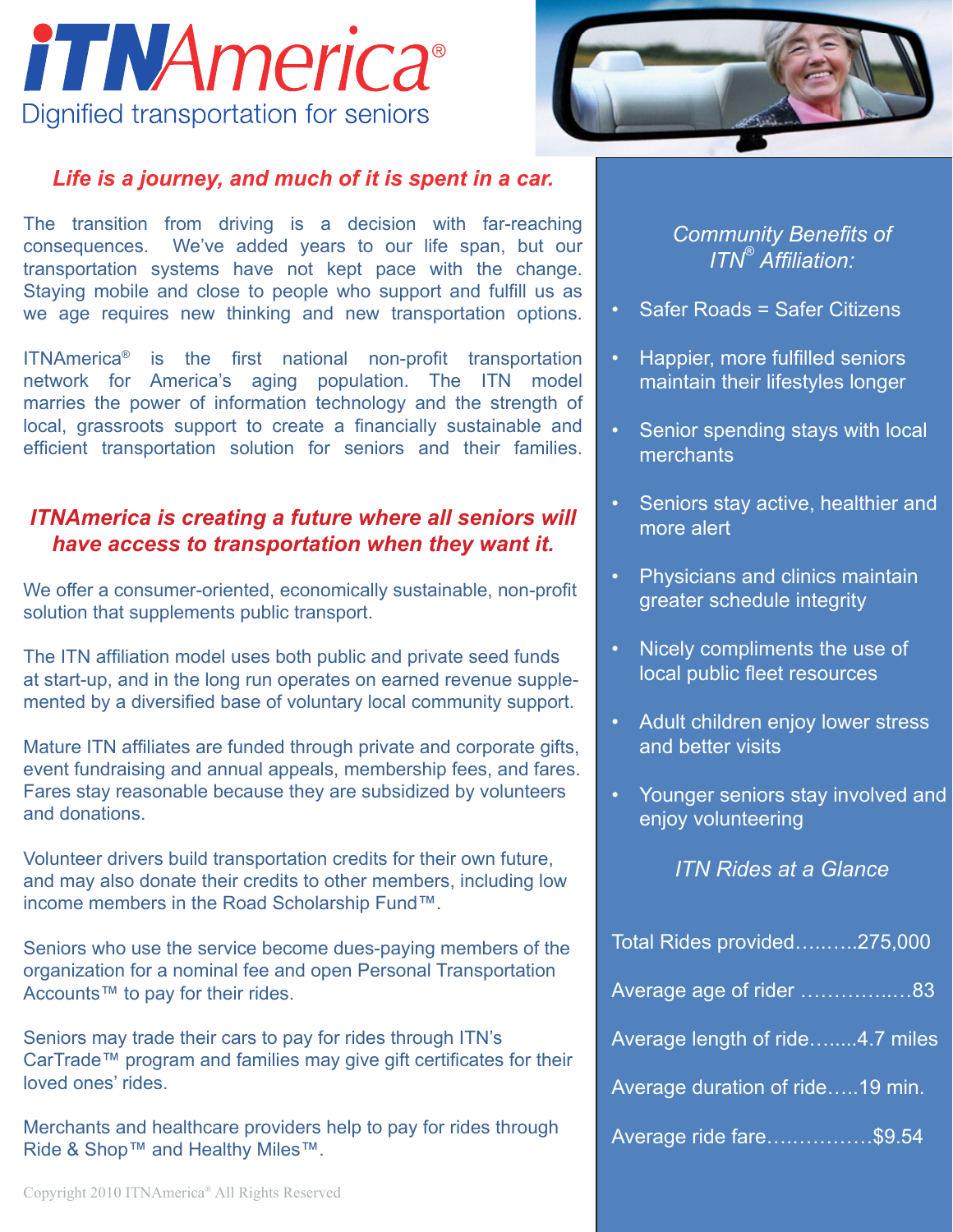



### *Life is a journey, and much of it is spent in a car.*

The transition from driving is a decision with far-reaching consequences. We've added years to our life span, but our transportation systems have not kept pace with the change. Staying mobile and close to people who support and fulfill us as we age requires new thinking and new transportation options.

ITNAmerica® is the first national non-profit transportation network for America's aging population. The ITN model marries the power of information technology and the strength of local, grassroots support to create a financially sustainable and efficient transportation solution for seniors and their families.

# *ITNAmerica is creating a future where all seniors will have access to transportation when they want it.*

We offer a consumer-oriented, economically sustainable, non-profit solution that supplements public transport.

The ITN affiliation model uses both public and private seed funds at start-up, and in the long run operates on earned revenue supplemented by a diversified base of voluntary local community support.

Mature ITN affiliates are funded through private and corporate gifts, event fundraising and annual appeals, membership fees, and fares. Fares stay reasonable because they are subsidized by volunteers and donations.

Volunteer drivers build transportation credits for their own future, and may also donate their credits to other members, including low income members in the Road Scholarship Fund™.

Seniors who use the service become dues-paying members of the organization for a nominal fee and open Personal Transportation Accounts™ to pay for their rides.

Seniors may trade their cars to pay for rides through ITN's CarTrade™ program and families may give gift certificates for their loved ones' rides.

Merchants and healthcare providers help to pay for rides through Ride & Shop™ and Healthy Miles™.

*Community Benefits of ITN® Affiliation:*

- **Safer Roads = Safer Citizens**
- Happier, more fulfilled seniors maintain their lifestyles longer
- Senior spending stays with local **merchants**
- Seniors stay active, healthier and more alert
- Physicians and clinics maintain greater schedule integrity
- Nicely compliments the use of local public fleet resources
- Adult children enjoy lower stress and better visits
- Younger seniors stay involved and enjoy volunteering

*ITN Rides at a Glance*

| Total Rides provided275,000     |
|---------------------------------|
| Average age of rider 83         |
| Average length of ride4.7 miles |
| Average duration of ride19 min. |
| Average ride fare\$9.54         |